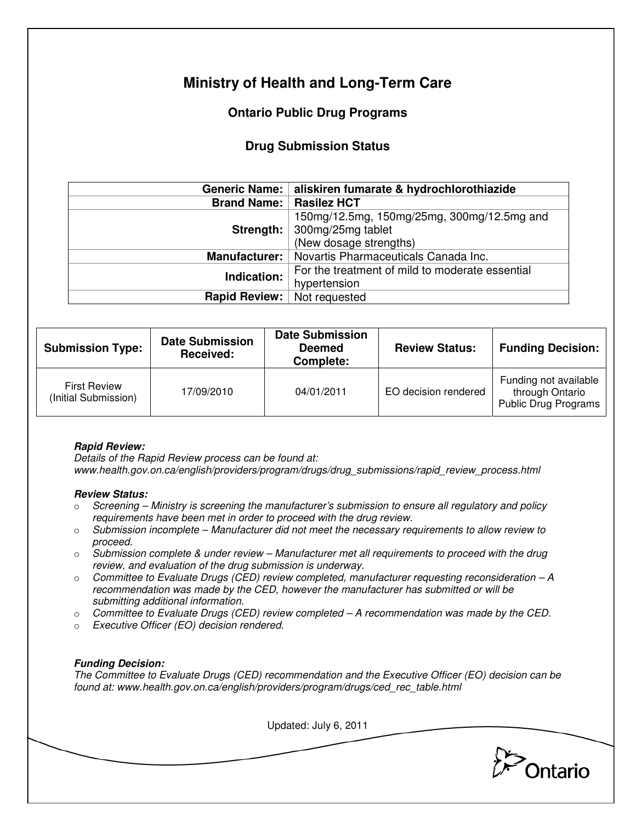# **Ministry of Health and Long-Term Care**

## **Ontario Public Drug Programs**

### **Drug Submission Status**

|                                  | Generic Name:   aliskiren fumarate & hydrochlorothiazide                                              |  |  |
|----------------------------------|-------------------------------------------------------------------------------------------------------|--|--|
| <b>Brand Name:   Rasilez HCT</b> |                                                                                                       |  |  |
|                                  | 150mg/12.5mg, 150mg/25mg, 300mg/12.5mg and<br>Strength:   300mg/25mg tablet<br>(New dosage strengths) |  |  |
| <b>Manufacturer:</b>             | Novartis Pharmaceuticals Canada Inc.                                                                  |  |  |
| Indication:                      | For the treatment of mild to moderate essential<br>hypertension                                       |  |  |
| <b>Rapid Review:</b>             | Not requested                                                                                         |  |  |

| <b>Submission Type:</b>                     | <b>Date Submission</b><br>Received: | <b>Date Submission</b><br><b>Deemed</b><br>Complete: | <b>Review Status:</b> | <b>Funding Decision:</b>                                                |
|---------------------------------------------|-------------------------------------|------------------------------------------------------|-----------------------|-------------------------------------------------------------------------|
| <b>First Review</b><br>(Initial Submission) | 17/09/2010                          | 04/01/2011                                           | EO decision rendered  | Funding not available<br>through Ontario<br><b>Public Drug Programs</b> |

#### **Rapid Review:**

Details of the Rapid Review process can be found at: www.health.gov.on.ca/english/providers/program/drugs/drug\_submissions/rapid\_review\_process.html

#### **Review Status:**

- $\circ$  Screening Ministry is screening the manufacturer's submission to ensure all regulatory and policy requirements have been met in order to proceed with the drug review.
- $\circ$  Submission incomplete Manufacturer did not meet the necessary requirements to allow review to proceed.
- $\circ$  Submission complete & under review Manufacturer met all requirements to proceed with the drug review, and evaluation of the drug submission is underway.
- $\circ$  Committee to Evaluate Drugs (CED) review completed, manufacturer requesting reconsideration  $-A$ recommendation was made by the CED, however the manufacturer has submitted or will be submitting additional information.
- $\circ$  Committee to Evaluate Drugs (CED) review completed  $-A$  recommendation was made by the CED.
- o Executive Officer (EO) decision rendered.

#### **Funding Decision:**

The Committee to Evaluate Drugs (CED) recommendation and the Executive Officer (EO) decision can be found at: www.health.gov.on.ca/english/providers/program/drugs/ced\_rec\_table.html

Updated: July 6, 2011